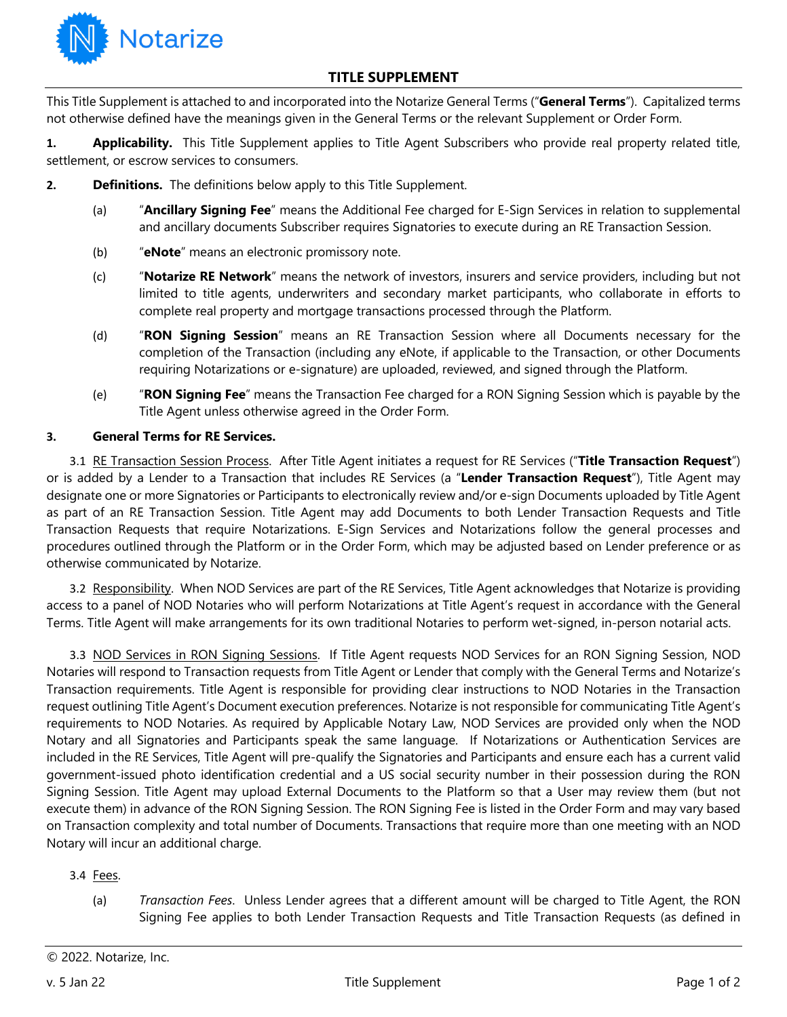

## **TITLE SUPPLEMENT**

This Title Supplement is attached to and incorporated into the Notarize General Terms ("**General Terms**"). Capitalized terms not otherwise defined have the meanings given in the General Terms or the relevant Supplement or Order Form.

**1. Applicability.** This Title Supplement applies to Title Agent Subscribers who provide real property related title, settlement, or escrow services to consumers.

- **2. Definitions.** The definitions below apply to this Title Supplement.
	- (a) "**Ancillary Signing Fee**" means the Additional Fee charged for E-Sign Services in relation to supplemental and ancillary documents Subscriber requires Signatories to execute during an RE Transaction Session.
	- (b) "**eNote**" means an electronic promissory note.
	- (c) "**Notarize RE Network**" means the network of investors, insurers and service providers, including but not limited to title agents, underwriters and secondary market participants, who collaborate in efforts to complete real property and mortgage transactions processed through the Platform.
	- (d) "**RON Signing Session**" means an RE Transaction Session where all Documents necessary for the completion of the Transaction (including any eNote, if applicable to the Transaction, or other Documents requiring Notarizations or e-signature) are uploaded, reviewed, and signed through the Platform.
	- (e) "**RON Signing Fee**" means the Transaction Fee charged for a RON Signing Session which is payable by the Title Agent unless otherwise agreed in the Order Form.

## **3. General Terms for RE Services.**

3.1 RE Transaction Session Process. After Title Agent initiates a request for RE Services ("**Title Transaction Request**") or is added by a Lender to a Transaction that includes RE Services (a "**Lender Transaction Request**"), Title Agent may designate one or more Signatories or Participants to electronically review and/or e-sign Documents uploaded by Title Agent as part of an RE Transaction Session. Title Agent may add Documents to both Lender Transaction Requests and Title Transaction Requests that require Notarizations. E-Sign Services and Notarizations follow the general processes and procedures outlined through the Platform or in the Order Form, which may be adjusted based on Lender preference or as otherwise communicated by Notarize.

3.2 Responsibility. When NOD Services are part of the RE Services, Title Agent acknowledges that Notarize is providing access to a panel of NOD Notaries who will perform Notarizations at Title Agent's request in accordance with the General Terms. Title Agent will make arrangements for its own traditional Notaries to perform wet-signed, in-person notarial acts.

3.3 NOD Services in RON Signing Sessions. If Title Agent requests NOD Services for an RON Signing Session, NOD Notaries will respond to Transaction requests from Title Agent or Lender that comply with the General Terms and Notarize's Transaction requirements. Title Agent is responsible for providing clear instructions to NOD Notaries in the Transaction request outlining Title Agent's Document execution preferences. Notarize is not responsible for communicating Title Agent's requirements to NOD Notaries. As required by Applicable Notary Law, NOD Services are provided only when the NOD Notary and all Signatories and Participants speak the same language. If Notarizations or Authentication Services are included in the RE Services, Title Agent will pre-qualify the Signatories and Participants and ensure each has a current valid government-issued photo identification credential and a US social security number in their possession during the RON Signing Session. Title Agent may upload External Documents to the Platform so that a User may review them (but not execute them) in advance of the RON Signing Session. The RON Signing Fee is listed in the Order Form and may vary based on Transaction complexity and total number of Documents. Transactions that require more than one meeting with an NOD Notary will incur an additional charge.

## 3.4 Fees.

(a) *Transaction Fees*. Unless Lender agrees that a different amount will be charged to Title Agent, the RON Signing Fee applies to both Lender Transaction Requests and Title Transaction Requests (as defined in